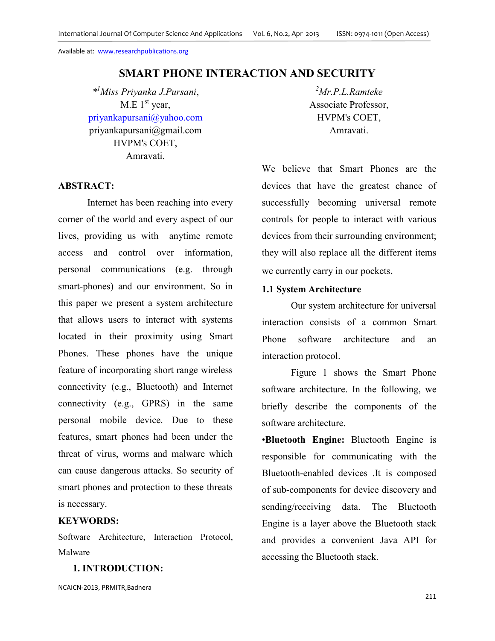# **SMART PHONE INTERACTION AND SECURITY**

*\* <sup>1</sup>Miss Priyanka J.Pursani*,  $M.E$  1<sup>st</sup> year, priyankapursani@yahoo.com priyankapursani@gmail.com HVPM's COET, Amravati.

## **ABSTRACT:**

Internet has been reaching into every corner of the world and every aspect of our lives, providing us with anytime remote access and control over information, personal communications (e.g. through smart-phones) and our environment. So in this paper we present a system architecture that allows users to interact with systems located in their proximity using Smart Phones. These phones have the unique feature of incorporating short range wireless connectivity (e.g., Bluetooth) and Internet connectivity (e.g., GPRS) in the same personal mobile device. Due to these features, smart phones had been under the threat of virus, worms and malware which can cause dangerous attacks. So security of smart phones and protection to these threats is necessary.

# **KEYWORDS:**

Software Architecture, Interaction Protocol, Malware

## **1. INTRODUCTION:**

NCAICN-2013, PRMITR,Badnera

*<sup>2</sup>Mr.P.L.Ramteke* Associate Professor, HVPM's COET, Amravati.

We believe that Smart Phones are the devices that have the greatest chance of successfully becoming universal remote controls for people to interact with various devices from their surrounding environment; they will also replace all the different items we currently carry in our pockets.

# **1.1 System Architecture**

Our system architecture for universal interaction consists of a common Smart Phone software architecture and an interaction protocol.

Figure 1 shows the Smart Phone software architecture. In the following, we briefly describe the components of the software architecture.

•**Bluetooth Engine:** Bluetooth Engine is responsible for communicating with the Bluetooth-enabled devices .It is composed of sub-components for device discovery and sending/receiving data. The Bluetooth Engine is a layer above the Bluetooth stack and provides a convenient Java API for accessing the Bluetooth stack.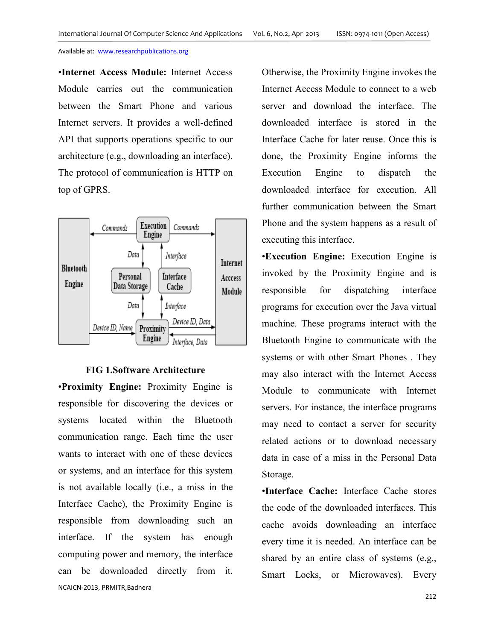•**Internet Access Module:** Internet Access Module carries out the communication between the Smart Phone and various Internet servers. It provides a well-defined API that supports operations specific to our architecture (e.g., downloading an interface). The protocol of communication is HTTP on top of GPRS.



### **FIG 1.Software Architecture**

NCAICN-2013, PRMITR,Badnera •**Proximity Engine:** Proximity Engine is responsible for discovering the devices or systems located within the Bluetooth communication range. Each time the user wants to interact with one of these devices or systems, and an interface for this system is not available locally (i.e., a miss in the Interface Cache), the Proximity Engine is responsible from downloading such an interface. If the system has enough computing power and memory, the interface can be downloaded directly from it.

Otherwise, the Proximity Engine invokes the Internet Access Module to connect to a web server and download the interface. The downloaded interface is stored in the Interface Cache for later reuse. Once this is done, the Proximity Engine informs the Execution Engine to dispatch the downloaded interface for execution. All further communication between the Smart Phone and the system happens as a result of executing this interface.

•**Execution Engine:** Execution Engine is invoked by the Proximity Engine and is responsible for dispatching interface programs for execution over the Java virtual machine. These programs interact with the Bluetooth Engine to communicate with the systems or with other Smart Phones . They may also interact with the Internet Access Module to communicate with Internet servers. For instance, the interface programs may need to contact a server for security related actions or to download necessary data in case of a miss in the Personal Data Storage.

•**Interface Cache:** Interface Cache stores the code of the downloaded interfaces. This cache avoids downloading an interface every time it is needed. An interface can be shared by an entire class of systems (e.g., Smart Locks, or Microwaves). Every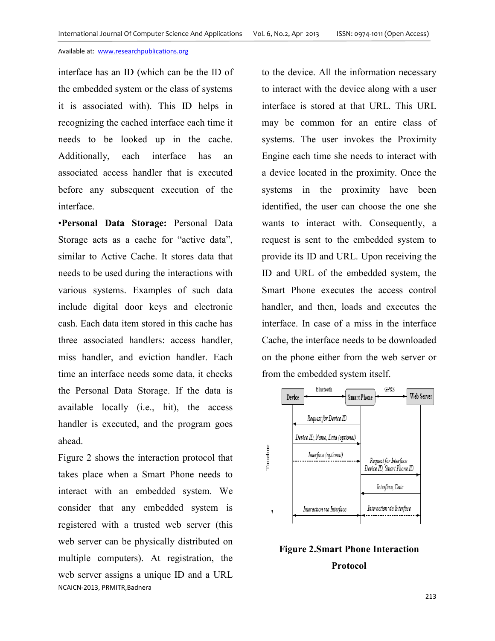interface has an ID (which can be the ID of the embedded system or the class of systems it is associated with). This ID helps in recognizing the cached interface each time it needs to be looked up in the cache. Additionally, each interface has an associated access handler that is executed before any subsequent execution of the interface.

•**Personal Data Storage:** Personal Data Storage acts as a cache for "active data", similar to Active Cache. It stores data that needs to be used during the interactions with various systems. Examples of such data include digital door keys and electronic cash. Each data item stored in this cache has three associated handlers: access handler, miss handler, and eviction handler. Each time an interface needs some data, it checks the Personal Data Storage. If the data is available locally (i.e., hit), the access handler is executed, and the program goes ahead.

NCAICN-2013, PRMITR,Badnera Figure 2 shows the interaction protocol that takes place when a Smart Phone needs to interact with an embedded system. We consider that any embedded system is registered with a trusted web server (this web server can be physically distributed on multiple computers). At registration, the web server assigns a unique ID and a URL

to the device. All the information necessary to interact with the device along with a user interface is stored at that URL. This URL may be common for an entire class of systems. The user invokes the Proximity Engine each time she needs to interact with a device located in the proximity. Once the systems in the proximity have been identified, the user can choose the one she wants to interact with. Consequently, a request is sent to the embedded system to provide its ID and URL. Upon receiving the ID and URL of the embedded system, the Smart Phone executes the access control handler, and then, loads and executes the interface. In case of a miss in the interface Cache, the interface needs to be downloaded on the phone either from the web server or from the embedded system itself.



**Figure 2.Smart Phone Interaction Protocol**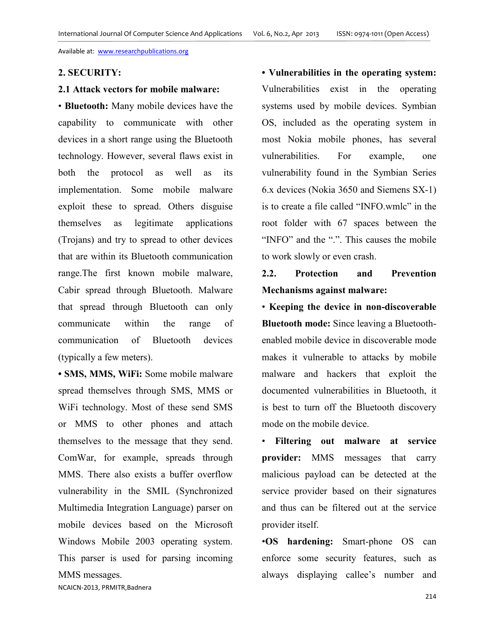## **2. SECURITY:**

# **2.1 Attack vectors for mobile malware:**

• **Bluetooth:** Many mobile devices have the capability to communicate with other devices in a short range using the Bluetooth technology. However, several flaws exist in both the protocol as well as its implementation. Some mobile malware exploit these to spread. Others disguise themselves as legitimate applications (Trojans) and try to spread to other devices that are within its Bluetooth communication range.The first known mobile malware, Cabir spread through Bluetooth. Malware that spread through Bluetooth can only communicate within the range of communication of Bluetooth devices (typically a few meters).

**• SMS, MMS, WiFi:** Some mobile malware spread themselves through SMS, MMS or WiFi technology. Most of these send SMS or MMS to other phones and attach themselves to the message that they send. ComWar, for example, spreads through MMS. There also exists a buffer overflow vulnerability in the SMIL (Synchronized Multimedia Integration Language) parser on mobile devices based on the Microsoft Windows Mobile 2003 operating system. This parser is used for parsing incoming MMS messages.

**• Vulnerabilities in the operating system:** Vulnerabilities exist in the operating systems used by mobile devices. Symbian OS, included as the operating system in most Nokia mobile phones, has several vulnerabilities. For example, one vulnerability found in the Symbian Series 6.x devices (Nokia 3650 and Siemens SX-1) is to create a file called "INFO.wmlc" in the root folder with 67 spaces between the "INFO" and the ".". This causes the mobile to work slowly or even crash.

# **2.2. Protection and Prevention Mechanisms against malware:**

• **Keeping the device in non-discoverable Bluetooth mode:** Since leaving a Bluetoothenabled mobile device in discoverable mode makes it vulnerable to attacks by mobile malware and hackers that exploit the documented vulnerabilities in Bluetooth, it is best to turn off the Bluetooth discovery mode on the mobile device.

• **Filtering out malware at service provider:** MMS messages that carry malicious payload can be detected at the service provider based on their signatures and thus can be filtered out at the service provider itself.

•**OS hardening:** Smart-phone OS can enforce some security features, such as always displaying callee's number and